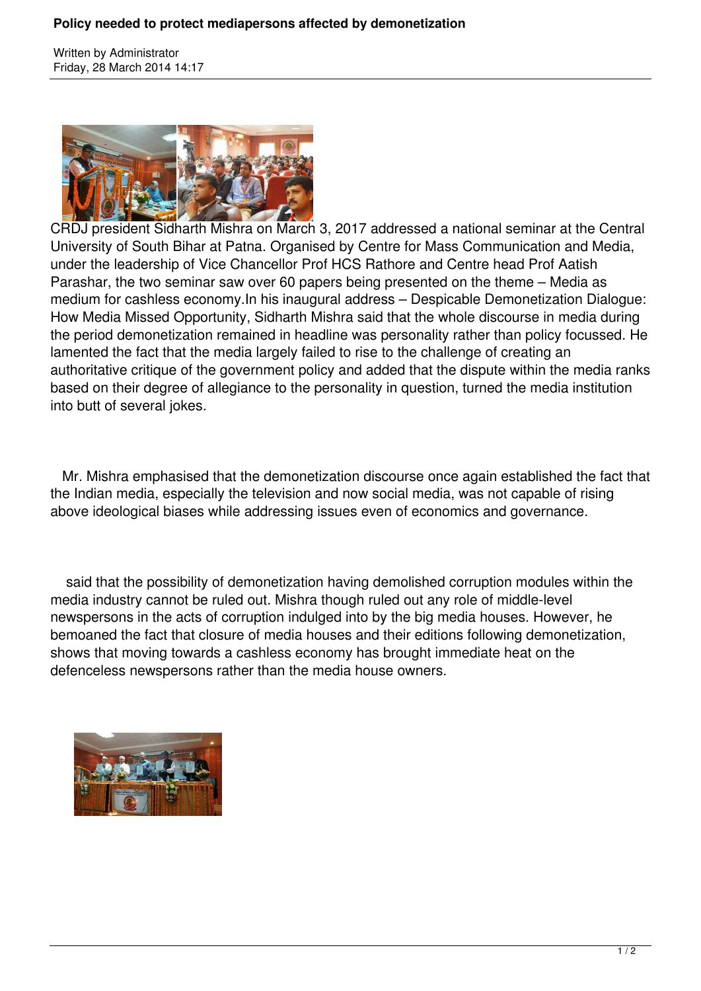Written by Administrator Friday, 28 March 2014 14:17



CRDJ president Sidharth Mishra on March 3, 2017 addressed a national seminar at the Central University of South Bihar at Patna. Organised by Centre for Mass Communication and Media, under the leadership of Vice Chancellor Prof HCS Rathore and Centre head Prof Aatish Parashar, the two seminar saw over 60 papers being presented on the theme – Media as medium for cashless economy.In his inaugural address – Despicable Demonetization Dialogue: How Media Missed Opportunity, Sidharth Mishra said that the whole discourse in media during the period demonetization remained in headline was personality rather than policy focussed. He lamented the fact that the media largely failed to rise to the challenge of creating an authoritative critique of the government policy and added that the dispute within the media ranks based on their degree of allegiance to the personality in question, turned the media institution into butt of several jokes.

 Mr. Mishra emphasised that the demonetization discourse once again established the fact that the Indian media, especially the television and now social media, was not capable of rising above ideological biases while addressing issues even of economics and governance.

 said that the possibility of demonetization having demolished corruption modules within the media industry cannot be ruled out. Mishra though ruled out any role of middle-level newspersons in the acts of corruption indulged into by the big media houses. However, he bemoaned the fact that closure of media houses and their editions following demonetization, shows that moving towards a cashless economy has brought immediate heat on the defenceless newspersons rather than the media house owners.